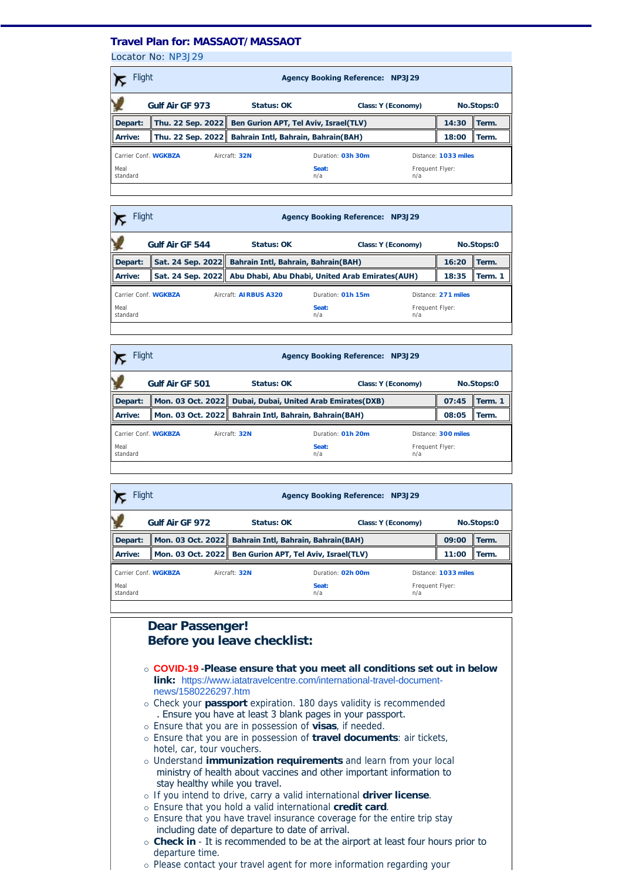### **Travel Plan for: MASSAOT/MASSAOT**

Locator No: [NP3J29](https://travel-management:44302/PassengersInPnr.aspx?pnr=NP3J29&past=True&name=&office=&update=False&provider=WORLDSPAN&format=MjQgSG91cg==&brand=2&menu=False&fromversion=0&history=-1)

| Gulf Air GF 973<br>Status: OK<br>Class: Y (Economy)                            | No.Stops:0           |  |  |
|--------------------------------------------------------------------------------|----------------------|--|--|
|                                                                                |                      |  |  |
| Thu. 22 Sep. 2022<br>Ben Gurion APT, Tel Aviv, Israel(TLV)<br>Depart:<br>14:30 | Term.                |  |  |
| Thu. 22 Sep. 2022 Bahrain Intl, Bahrain, Bahrain(BAH)<br>Arrive:<br>18:00      | Term.                |  |  |
| Carrier Conf. WGKBZA<br>Duration: 03h 30m<br>Aircraft: 32N                     | Distance: 1033 miles |  |  |
| Meal<br>Seat:<br>Frequent Flyer:<br>n/a<br>standard<br>n/a                     |                      |  |  |

|                      | Flight<br><b>Agency Booking Reference: NP3J29</b> |  |                                                                   |                   |                    |                        |                     |            |
|----------------------|---------------------------------------------------|--|-------------------------------------------------------------------|-------------------|--------------------|------------------------|---------------------|------------|
|                      | Gulf Air GF 544                                   |  | Status: OK                                                        |                   | Class: Y (Economy) |                        |                     | No.Stops:0 |
| Depart:              |                                                   |  | Sat. 24 Sep. 2022 Bahrain Intl, Bahrain, Bahrain(BAH)             |                   |                    |                        | 16:20               | Term.      |
| Arrive:              |                                                   |  | Sat. 24 Sep. 2022 Abu Dhabi, Abu Dhabi, United Arab Emirates(AUH) |                   |                    |                        | 18:35               | Term. 1    |
| Carrier Conf. WGKBZA |                                                   |  | Aircraft: AIRBUS A320                                             | Duration: 01h 15m |                    |                        | Distance: 271 miles |            |
| Meal<br>standard     |                                                   |  |                                                                   | Seat:<br>n/a      |                    | Frequent Flyer:<br>n/a |                     |            |
|                      |                                                   |  |                                                                   |                   |                    |                        |                     |            |

|                      | Flight<br><b>Agency Booking Reference: NP3J29</b> |                                                           |                   |                        |            |          |  |
|----------------------|---------------------------------------------------|-----------------------------------------------------------|-------------------|------------------------|------------|----------|--|
|                      | Gulf Air GF 501                                   | Status: OK<br>Class: Y (Economy)                          |                   |                        | No.Stops:0 |          |  |
| Depart:              |                                                   | Mon. 03 Oct. 2022 Dubai, Dubai, United Arab Emirates(DXB) |                   |                        | 07:45      | Term. 1  |  |
| Arrive:              | Mon. 03 Oct. 2022                                 | <b>Bahrain Intl, Bahrain, Bahrain(BAH)</b>                |                   |                        | 08:05      | ll Term. |  |
| Carrier Conf. WGKBZA |                                                   | Aircraft: 32N                                             | Duration: 01h 20m | Distance: 300 miles    |            |          |  |
| Meal<br>standard     |                                                   |                                                           | Seat:<br>n/a      | Frequent Flyer:<br>n/a |            |          |  |
|                      |                                                   |                                                           |                   |                        |            |          |  |

|                                                            | Flight<br><b>Agency Booking Reference: NP3J29</b> |                                                         |              |                        |                      |       |  |
|------------------------------------------------------------|---------------------------------------------------|---------------------------------------------------------|--------------|------------------------|----------------------|-------|--|
|                                                            | Gulf Air GF 972                                   | Status: OK<br>Class: Y (Economy)                        |              |                        | No.Stops:0           |       |  |
| Depart:                                                    |                                                   | Mon. 03 Oct. 2022 Bahrain Intl, Bahrain, Bahrain(BAH)   |              |                        | 09:00                | Term. |  |
| Arrive:                                                    |                                                   | Mon. 03 Oct. 2022 Ben Gurion APT, Tel Aviv, Israel(TLV) |              |                        | 11:00                | Term. |  |
| Carrier Conf. WGKBZA<br>Duration: 02h 00m<br>Aircraft: 32N |                                                   |                                                         |              |                        | Distance: 1033 miles |       |  |
| Meal<br>standard                                           |                                                   |                                                         | Seat:<br>n/a | Frequent Flyer:<br>n/a |                      |       |  |
|                                                            |                                                   |                                                         |              |                        |                      |       |  |

## **Dear Passenger! Before you leave checklist:**

- ¡ **COVID-19 -Please ensure that you meet all conditions set out in below link:** [https://www.iatatravelcentre.com/international-travel-document](https://www.iatatravelcentre.com/international-travel-document-news/1580226297.htm)news/1580226297.htm
- ¡ Check your **passport** expiration. 180 days validity is recommended . Ensure you have at least 3 blank pages in your passport.
- ¡ Ensure that you are in possession of **visas**, if needed.
- ¡ Ensure that you are in possession of **travel documents**: air tickets, hotel, car, tour vouchers.
- ¡ Understand **immunization requirements** and learn from your local ministry of health about vaccines and other important information to stay healthy while you travel.
- ¡ If you intend to drive, carry a valid international **driver license**.
- ¡ Ensure that you hold a valid international **credit card**.
- o Ensure that you have travel insurance coverage for the entire trip stay including date of departure to date of arrival.
- ¡ **Check in** It is recommended to be at the airport at least four hours prior to departure time.
- ¡ Please contact your travel agent for more information regarding your